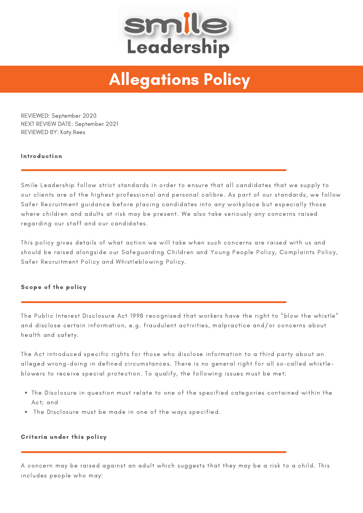

# Allegations Policy

REVIEWED: September 2020 NEXT REVIEW DATE: September 2021 REVIEWED BY: Katy Rees

## Introduction

Smile Leadership follow strict standards in order to ensure that all candidates that we supply to our clients are of the highest professional and personal calibre. As part of our standards, we follow Safer Recruitment guidance before placing candidates into any workplace but especially those where children and adults at risk may be present. We also take seriously any concerns raised regarding our staff and our candidates.

This policy gives details of what action we will take when such concerns are raised with us and should be raised alongside our Safeguarding Children and Young People Policy, Complaints Policy, Safer Recruitment Policy and Whistleblowing Policy.

#### Scope of the policy

The Public Interest Disclosure Act 1998 recognised that workers have the right to "blow the whistle" and disclose certain information, e.g. fraudulent activities, malpractice and/or concerns about health and safety.

The Act introduced specific rights for those who disclose information to a third party about an alleged wrong-doing in defined circumstances. There is no general right for all so-called whistleblowers to receive special protection. To qualify, the following issues must be met:

- The Disclosure in question must relate to one of the specified categories contained within the Act; and
- The Disclosure must be made in one of the ways specified.

## Criteria under this policy

A concern may be raised against an adult which suggests that they may be a risk to a child. This includes people who may: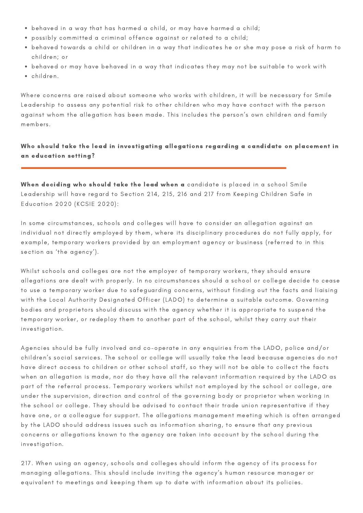- behaved in a way that has harmed a child, or may have harmed a child;
- possibly committed a criminal offence against or related to a child;
- behaved towards a child or children in a way that indicates he or she may pose a risk of harm to children; or
- behaved or may have behaved in a way that indicates they may not be suitable to work with
- children.

Where concerns are raised about someone who works with children, it will be necessary for Smile Leadership to assess any potential risk to other children who may have contact with the person against whom the allegation has been made. This includes the person's own children and family members.

# Who should take the lead in investigating allegations regarding a candidate on placement in an education setting?

When deciding who should take the lead when a candidate is placed in a school Smile Leadership will have regard to Section 214, 215, 216 and 217 from Keeping Children Safe in Education 2020 (KCSIE 2020):

In some circumstances, schools and colleges will have to consider an allegation against an individual not directly employed by them, where its disciplinary procedures do not fully apply, for example, temporary workers provided by an employment agency or business (referred to in this section as 'the agency').

Whilst schools and colleges are not the employer of temporary workers, they should ensure allegations are dealt with properly. In no circumstances should a school or college decide to cease to use a temporary worker due to safeguarding concerns, without finding out the facts and liaising with the Local Authority Designated Officer (LADO) to determine a suitable outcome. Governing bodies and proprietors should discuss with the agency whether it is appropriate to suspend the temporary worker, or redeploy them to another part of the school, whilst they carry out their investigation.

Agencies should be fully involved and co-operate in any enquiries from the LADO, police and/or children's social services. The school or college will usually take the lead because agencies do not have direct access to children or other school staff, so they will not be able to collect the facts when an allegation is made, nor do they have all the relevant information required by the LADO as part of the referral process. Temporary workers whilst not employed by the school or college, are under the supervision, direction and control of the governing body or proprietor when working in the school or college. They should be advised to contact their trade union representative if they have one, or a colleague for support. The allegations management meeting which is often arranged by the LADO should address issues such as information sharing, to ensure that any previous concerns or allegations known to the agency are taken into account by the school during the investigation.

217. When using an agency, schools and colleges should inform the agency of its process for managing allegations. This should include inviting the agency's human resource manager or equivalent to meetings and keeping them up to date with information about its policies.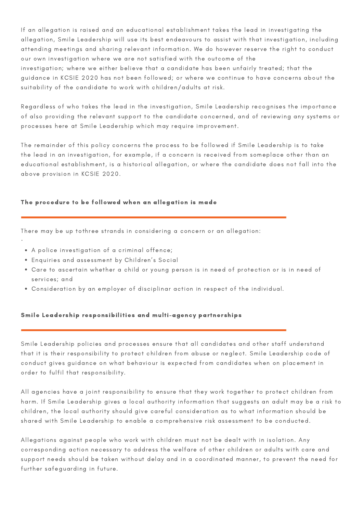If an allegation is raised and an educational establishment takes the lead in investigating the allegation, Smile Leadership will use its best endeavours to assist with that investigation, including attending meetings and sharing relevant information. We do however reserve the right to conduct our own investigation where we are not satisfied with the outcome of the investigation; where we either believe that a candidate has been unfairly treated; that the guidance in KCSIE 2020 has not been followed; or where we continue to have concerns about the suitability of the candidate to work with children/adults at risk.

Regardless of who takes the lead in the investigation, Smile Leadership recognises the importance of also providing the relevant support to the candidate concerned, and of reviewing any systems or processes here at Smile Leadership which may require improvement.

The remainder of this policy concerns the process to be followed if Smile Leadership is to take the lead in an investigation, for example, if a concern is received from someplace other than an educational establishment, is a historical allegation, or where the candidate does not fall into the above provision in KCSIE 2020.

## The procedure to be followed when an allegation is made

There may be up tothree strands in considering a concern or an allegation:

A police investigation of a criminal offence;

·

- Enquiries and assessment by Children's Social
- Care to ascertain whether a child or young person is in need of protection or is in need of services; and
- Consideration by an employer of disciplinar action in respect of the individual.

## Smile Leadership responsibilities and multi-agency partnerships

Smile Leadership policies and processes ensure that all candidates and other staff understand that it is their responsibility to protect children from abuse or neglect. Smile Leadership code of conduct gives guidance on what behaviour is expected from candidates when on placement in order to fulfil that responsibility.

All agencies have a joint responsibility to ensure that they work together to protect children from harm. If Smile Leadership gives a local authority information that suggests an adult may be a risk to children, the local authority should give careful consideration as to what information should be shared with Smile Leadership to enable a comprehensive risk assessment to be conducted.

Allegations against people who work with children must not be dealt with in isolation. Any corresponding action necessary to address the welfare of other children or adults with care and support needs should be taken without delay and in a coordinated manner, to prevent the need for further safeguarding in future.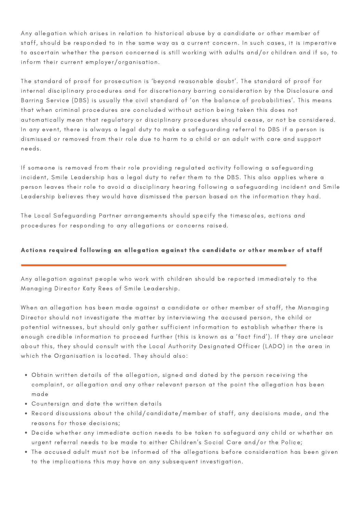Any allegation which arises in relation to historical abuse by a candidate or other member of staff, should be responded to in the same way as a current concern. In such cases, it is imperative to ascertain whether the person concerned is still working with adults and/or children and if so, to inform their current employer/organisation.

The standard of proof for prosecution is 'beyond reasonable doubt'. The standard of proof for internal disciplinary procedures and for discretionary barring consideration by the Disclosure and Barring Service (DBS) is usually the civil standard of 'on the balance of probabilities'. This means that when criminal procedures are concluded without action being taken this does not automatically mean that regulatory or disciplinary procedures should cease, or not be considered. In any event, there is always a legal duty to make a safeguarding referral to DBS if a person is dismissed or removed from their role due to harm to a child or an adult with care and support needs.

If someone is removed from their role providing regulated activity following a safeguarding incident, Smile Leadership has a legal duty to refer them to the DBS. This also applies where a person leaves their role to avoid a disciplinary hearing following a safeguarding incident and Smile Leadership believes they would have dismissed the person based on the information they had.

The Local Safeguarding Partner arrangements should specify the timescales, actions and procedures for responding to any allegations or concerns raised.

# Actions required following an allegation against the candidate or other member of staff

Any allegation against people who work with children should be reported immediately to the Managing Director Katy Rees of Smile Leadership.

When an allegation has been made against a candidate or other member of staff, the Managing Director should not investigate the matter by interviewing the accused person, the child or potential witnesses, but should only gather sufficient information to establish whether there is enough credible information to proceed further (this is known as a 'fact find'). If they are unclear about this, they should consult with the Local Authority Designated Officer (LADO) in the area in which the Organisation is located. They should also:

- Obtain written details of the allegation, signed and dated by the person receiving the complaint, or allegation and any other relevant person at the point the allegation has been made
- Countersign and date the written details
- Record discussions about the child/candidate/member of staff, any decisions made, and the reasons for those decisions;
- Decide whether any immediate action needs to be taken to safeguard any child or whether an urgent referral needs to be made to either Children's Social Care and/or the Police;
- The accused adult must not be informed of the allegations before consideration has been given to the implications this may have on any subsequent investigation.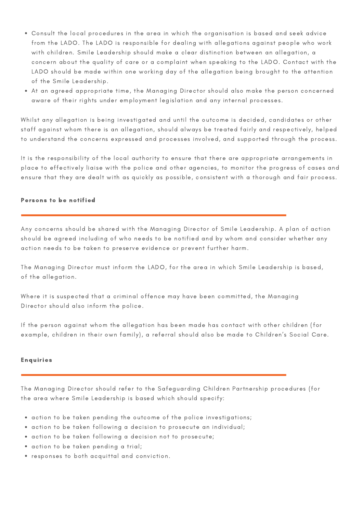- Consult the local procedures in the area in which the organisation is based and seek advice from the LADO. The LADO is responsible for dealing with allegations against people who work with children. Smile Leadership should make a clear distinction between an allegation, a concern about the quality of care or a complaint when speaking to the LADO. Contact with the LADO should be made within one working day of the allegation being brought to the attention of the Smile Leadership.
- At an agreed appropriate time, the Managing Director should also make the person concerned aware of their rights under employment legislation and any internal processes.

Whilst any allegation is being investigated and until the outcome is decided, candidates or other staff against whom there is an allegation, should always be treated fairly and respectively, helped to understand the concerns expressed and processes involved, and supported through the process.

It is the responsibility of the local authority to ensure that there are appropriate arrangements in place to effectively liaise with the police and other agencies, to monitor the progress of cases and ensure that they are dealt with as quickly as possible, consistent with a thorough and fair process.

## Persons to be notified

Any concerns should be shared with the Managing Director of Smile Leadership. A plan of action should be agreed including of who needs to be notified and by whom and consider whether any action needs to be taken to preserve evidence or prevent further harm.

The Managing Director must inform the LADO, for the area in which Smile Leadership is based, of the allegation.

Where it is suspected that a criminal offence may have been committed, the Managing Director should also inform the police.

If the person against whom the allegation has been made has contact with other children (for example, children in their own family), a referral should also be made to Children's Social Care.

## Enquiries

The Managing Director should refer to the Safeguarding Children Partnership procedures (for the area where Smile Leadership is based which should specify:

- action to be taken pending the outcome of the police investigations;
- action to be taken following a decision to prosecute an individual;
- action to be taken following a decision not to prosecute;
- action to be taken pending a trial;
- responses to both acquittal and conviction.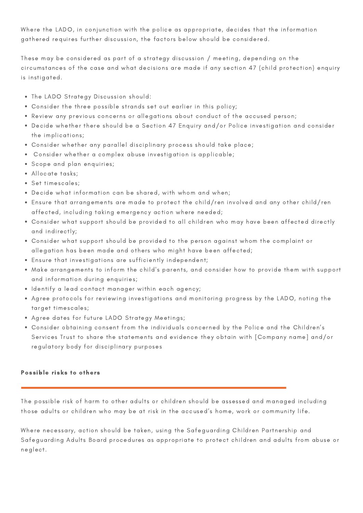Where the LADO, in conjunction with the police as appropriate, decides that the information gathered requires further discussion, the factors below should be considered.

These may be considered as part of a strategy discussion / meeting, depending on the circumstances of the case and what decisions are made if any section 47 (child protection) enquiry is instigated.

- The LADO Strategy Discussion should:
- Consider the three possible strands set out earlier in this policy;
- Review any previous concerns or allegations about conduct of the accused person;
- Decide whether there should be a Section 47 Enquiry and/or Police investigation and consider the implications;
- Consider whether any parallel disciplinary process should take place;
- Consider whether a complex abuse investigation is applicable;
- Scope and plan enquiries;
- Allocate tasks;
- Set timescales;
- Decide what information can be shared, with whom and when;
- Ensure that arrangements are made to protect the child/ren involved and any other child/ren affected, including taking emergency action where needed;
- Consider what support should be provided to all children who may have been affected directly and indirectly;
- Consider what support should be provided to the person against whom the complaint or allegation has been made and others who might have been affected;
- Ensure that investigations are sufficiently independent;
- Make arrangements to inform the child's parents, and consider how to provide them with support and information during enquiries;
- Identify a lead contact manager within each agency;
- Agree protocols for reviewing investigations and monitoring progress by the LADO, noting the target timescales;
- Agree dates for future LADO Strategy Meetings;
- Consider obtaining consent from the individuals concerned by the Police and the Children's Services Trust to share the statements and evidence they obtain with [Company name] and/or regulatory body for disciplinary purposes

## Possible risks to others

The possible risk of harm to other adults or children should be assessed and managed including those adults or children who may be at risk in the accused's home, work or community life.

Where necessary, action should be taken, using the Safeguarding Children Partnership and Safeguarding Adults Board procedures as appropriate to protect children and adults from abuse or neglect.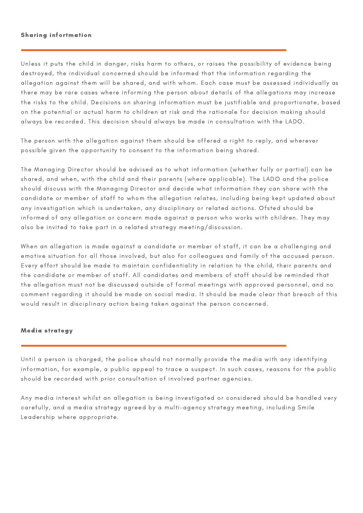#### Sharing infortmation

Unless it puts the child in danger, risks harm to others, or raises the possibility of evidence being destroyed, the individual concerned should be informed that the information regarding the allegation against them will be shared, and with whom. Each case must be assessed individually as there may be rare cases where informing the person about details of the allegations may increase the risks to the child. Decisions on sharing information must be justifiable and proportionate, based on the potential or actual harm to children at risk and the rationale for decision making should always be recorded. This decision should always be made in consultation with the LADO.

The person with the allegation against them should be offered a right to reply, and wherever possible given the opportunity to consent to the information being shared.

The Managing Director should be advised as to what information (whether fully or partial) can be shared, and when, with the child and their parents (where applicable). The LADO and the police should discuss with the Managing Director and decide what information they can share with the candidate or member of staff to whom the allegation relates, including being kept updated about any investigation which is undertaken, any disciplinary or related actions. Ofsted should be informed of any allegation or concern made against a person who works with children. They may also be invited to take part in a related strategy meeting/discussion.

When an allegation is made against a candidate or member of staff, it can be a challenging and emotive situation for all those involved, but also for colleagues and family of the accused person. Every effort should be made to maintain confidentiality in relation to the child, their parents and the candidate or member of staff. All candidates and members of staff should be reminded that the allegation must not be discussed outside of formal meetings with approved personnel, and no comment regarding it should be made on social media. It should be made clear that breach of this would result in disciplinary action being taken against the person concerned.

#### Media strategy

Until a person is charged, the police should not normally provide the media with any identifying information, for example, a public appeal to trace a suspect. In such cases, reasons for the public should be recorded with prior consultation of involved partner agencies.

Any media interest whilst an allegation is being investigated or considered should be handled very carefully, and a media strategy agreed by a multi-agency strategy meeting, including Smile Leadership where appropriate.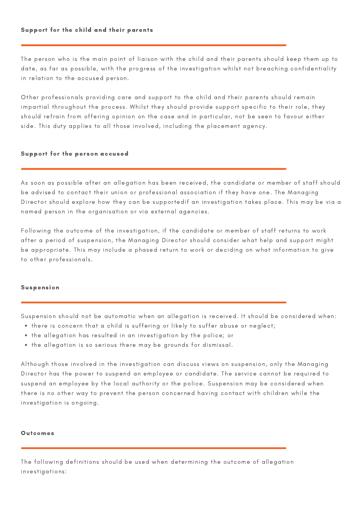## Support for the child and their parents

The person who is the main point of liaison with the child and their parents should keep them up to date, as far as possible, with the progress of the investigation whilst not breaching confidentiality in relation to the accused person.

Other professionals providing care and support to the child and their parents should remain impartial throughout the process. Whilst they should provide support specific to their role, they should refrain from offering opinion on the case and in particular, not be seen to favour either side. This duty applies to all those involved, including the placement agency.

#### Support for the person accused

As soon as possible after an allegation has been received, the candidate or member of staff should be advised to contact their union or professional association if they have one. The Managing Director should explore how they can be supportedif an investigation takes place. This may be via a named person in the organisation or via external agencies.

Following the outcome of the investigation, if the candidate or member of staff returns to work after a period of suspension, the Managing Director should consider what help and support might be appropriate. This may include a phased return to work or deciding on what information to give to other professionals.

#### Suspension

Suspension should not be automatic when an allegation is received. It should be considered when:

- there is concern that a child is suffering or likely to suffer abuse or neglect;
- the allegation has resulted in an investigation by the police; or
- the allegation is so serious there may be grounds for dismissal.

Although those involved in the investigation can discuss views on suspension, only the Managing Director has the power to suspend an employee or candidate. The service cannot be required to suspend an employee by the local authority or the police. Suspension may be considered when there is no other way to prevent the person concerned having contact with children while the investigation is ongoing.

#### **Outcomes**

The following definitions should be used when determining the outcome of allegation investigations: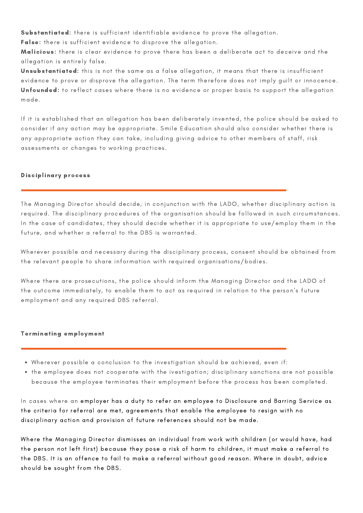Substantiated: there is sufficient identifiable evidence to prove the allegation.

False: there is sufficient evidence to disprove the allegation.

Malicious: there is clear evidence to prove there has been a deliberate act to deceive and the allegation is entirely false.

Unsubstantiated: this is not the same as a false allegation, it means that there is insufficient evidence to prove or disprove the allegation. The term therefore does not imply guilt or innocence. Unfounded: to reflect cases where there is no evidence or proper basis to support the allegation made.

If it is established that an allegation has been deliberately invented, the police should be asked to consider if any action may be appropriate. Smile Education should also consider whether there is any appropriate action they can take, including giving advice to other members of staff, risk assessments or changes to working practices.

# Disciplinary process

The Managing Director should decide, in conjunction with the LADO, whether disciplinary action is required. The disciplinary procedures of the organisation should be followed in such circumstances. In the case of candidates, they should decide whether it is appropriate to use/employ them in the future, and whether a referral to the DBS is warranted.

Wherever possible and necessary during the disciplinary process, consent should be obtained from the relevant people to share information with required organisations/bodies.

Where there are prosecutions, the police should inform the Managing Director and the LADO of the outcome immediately, to enable them to act as required in relation to the person's future employment and any required DBS referral.

## Terminating employment

- Wherever possible a conclusion to the investigation should be achieved, even if:
- the employee does not cooperate with the ivestigation; disciplinary sanctions are not possible because the employee terminates their employment before the process has been completed.

In cases where an employer has a duty to refer an employee to Disclosure and Barring Service as the criteria for referral are met, agreements that enable the employee to resign with no disciplinary action and provision of future references should not be made.

Where the Managing Director dismisses an individual from work with children (or would have, had the person not left first) because they pose a risk of harm to children, it must make a referral to the DBS. It is an offence to fail to make a referral without good reason. Where in doubt, advice should be sought from the DBS.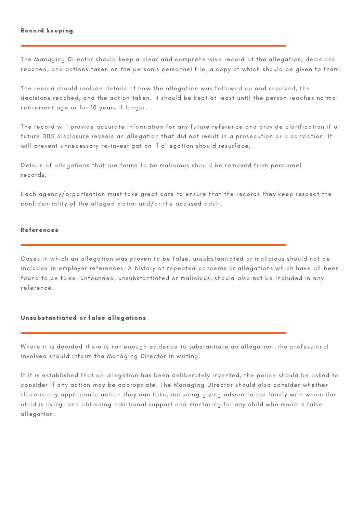## Record keeping

The Managing Director should keep a clear and comprehensive record of the allegation, decisions reached, and actions taken on the person's personnel file, a copy of which should be given to them.

The record should include details of how the allegation was followed up and resolved, the decisions reached, and the action taken. It should be kept at least until the person reaches normal retirement age or for 10 years if longer.

The record will provide accurate information for any future reference and provide clarification if a future DBS disclosure reveals an allegation that did not result in a prosecution or a conviction. It will prevent unnecessary re-investigation if allegation should resurface.

Details of allegations that are found to be malicious should be removed from personnel records.

Each agency/organisation must take great care to ensure that the records they keep respect the confidentiality of the alleged victim and/or the accused adult.

## References

Cases in which an allegation was proven to be false, unsubstantiated or malicious should not be included in employer references. A history of repeated concerns or allegations which have all been found to be false, unfounded, unsubstantiated or malicious, should also not be included in any reference.

#### Unsubstantiated or false allegations

Where it is decided there is not enough evidence to substantiate an allegation, the professional involved should inform the Managing Director in writing.

If it is established that an allegation has been deliberately invented, the police should be asked to consider if any action may be appropriate. The Managing Director should also consider whether there is any appropriate action they can take, including giving advice to the family with whom the child is living, and obtaining additional support and mentoring for any child who made a false allegation.